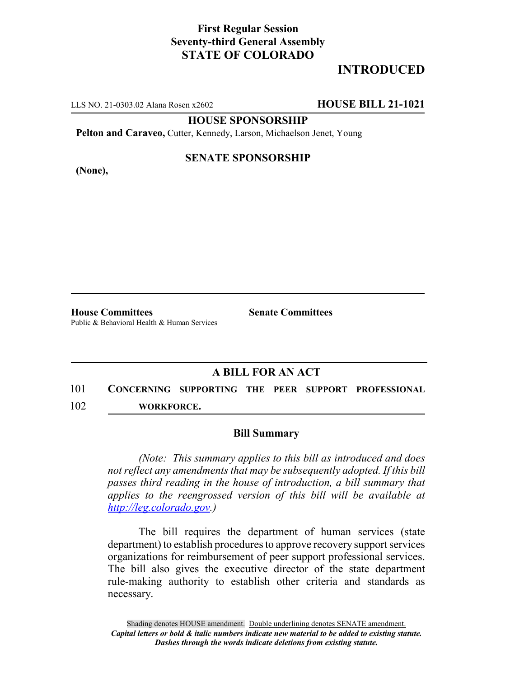## **First Regular Session Seventy-third General Assembly STATE OF COLORADO**

# **INTRODUCED**

LLS NO. 21-0303.02 Alana Rosen x2602 **HOUSE BILL 21-1021**

**HOUSE SPONSORSHIP**

**Pelton and Caraveo,** Cutter, Kennedy, Larson, Michaelson Jenet, Young

**(None),**

#### **SENATE SPONSORSHIP**

**House Committees Senate Committees** Public & Behavioral Health & Human Services

### **A BILL FOR AN ACT**

101 **CONCERNING SUPPORTING THE PEER SUPPORT PROFESSIONAL** 102 **WORKFORCE.**

#### **Bill Summary**

*(Note: This summary applies to this bill as introduced and does not reflect any amendments that may be subsequently adopted. If this bill passes third reading in the house of introduction, a bill summary that applies to the reengrossed version of this bill will be available at http://leg.colorado.gov.)*

The bill requires the department of human services (state department) to establish procedures to approve recovery support services organizations for reimbursement of peer support professional services. The bill also gives the executive director of the state department rule-making authority to establish other criteria and standards as necessary.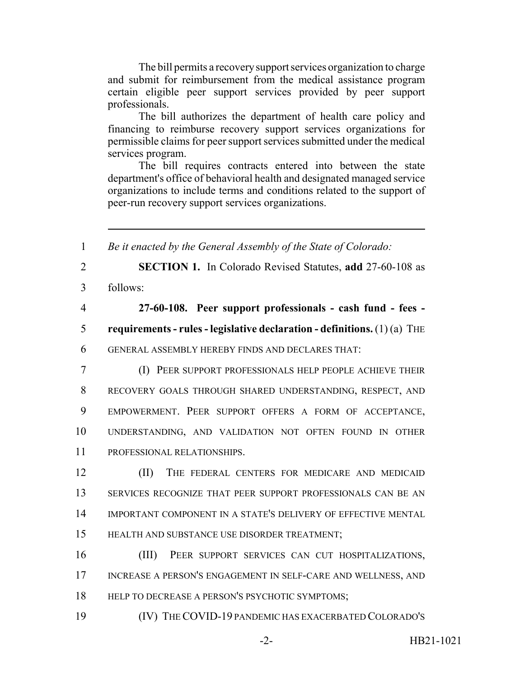The bill permits a recovery support services organization to charge and submit for reimbursement from the medical assistance program certain eligible peer support services provided by peer support professionals.

The bill authorizes the department of health care policy and financing to reimburse recovery support services organizations for permissible claims for peer support services submitted under the medical services program.

The bill requires contracts entered into between the state department's office of behavioral health and designated managed service organizations to include terms and conditions related to the support of peer-run recovery support services organizations.

 *Be it enacted by the General Assembly of the State of Colorado:* **SECTION 1.** In Colorado Revised Statutes, **add** 27-60-108 as 3 follows: **27-60-108. Peer support professionals - cash fund - fees - requirements - rules - legislative declaration - definitions.** (1) (a) THE GENERAL ASSEMBLY HEREBY FINDS AND DECLARES THAT: (I) PEER SUPPORT PROFESSIONALS HELP PEOPLE ACHIEVE THEIR RECOVERY GOALS THROUGH SHARED UNDERSTANDING, RESPECT, AND EMPOWERMENT. PEER SUPPORT OFFERS A FORM OF ACCEPTANCE, UNDERSTANDING, AND VALIDATION NOT OFTEN FOUND IN OTHER PROFESSIONAL RELATIONSHIPS. (II) THE FEDERAL CENTERS FOR MEDICARE AND MEDICAID SERVICES RECOGNIZE THAT PEER SUPPORT PROFESSIONALS CAN BE AN IMPORTANT COMPONENT IN A STATE'S DELIVERY OF EFFECTIVE MENTAL HEALTH AND SUBSTANCE USE DISORDER TREATMENT; (III) PEER SUPPORT SERVICES CAN CUT HOSPITALIZATIONS, 17 INCREASE A PERSON'S ENGAGEMENT IN SELF-CARE AND WELLNESS, AND 18 HELP TO DECREASE A PERSON'S PSYCHOTIC SYMPTOMS; (IV) THE COVID-19 PANDEMIC HAS EXACERBATED COLORADO'S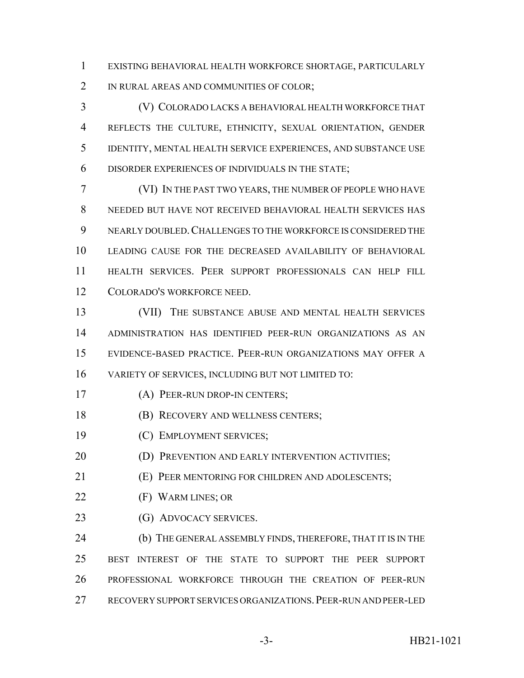EXISTING BEHAVIORAL HEALTH WORKFORCE SHORTAGE, PARTICULARLY 2 IN RURAL AREAS AND COMMUNITIES OF COLOR;

 (V) COLORADO LACKS A BEHAVIORAL HEALTH WORKFORCE THAT REFLECTS THE CULTURE, ETHNICITY, SEXUAL ORIENTATION, GENDER IDENTITY, MENTAL HEALTH SERVICE EXPERIENCES, AND SUBSTANCE USE DISORDER EXPERIENCES OF INDIVIDUALS IN THE STATE;

 (VI) IN THE PAST TWO YEARS, THE NUMBER OF PEOPLE WHO HAVE NEEDED BUT HAVE NOT RECEIVED BEHAVIORAL HEALTH SERVICES HAS NEARLY DOUBLED.CHALLENGES TO THE WORKFORCE IS CONSIDERED THE LEADING CAUSE FOR THE DECREASED AVAILABILITY OF BEHAVIORAL HEALTH SERVICES. PEER SUPPORT PROFESSIONALS CAN HELP FILL COLORADO'S WORKFORCE NEED.

 (VII) THE SUBSTANCE ABUSE AND MENTAL HEALTH SERVICES ADMINISTRATION HAS IDENTIFIED PEER-RUN ORGANIZATIONS AS AN EVIDENCE-BASED PRACTICE. PEER-RUN ORGANIZATIONS MAY OFFER A VARIETY OF SERVICES, INCLUDING BUT NOT LIMITED TO:

(A) PEER-RUN DROP-IN CENTERS;

- 18 (B) RECOVERY AND WELLNESS CENTERS;
- (C) EMPLOYMENT SERVICES;
- **(D) PREVENTION AND EARLY INTERVENTION ACTIVITIES;**
- (E) PEER MENTORING FOR CHILDREN AND ADOLESCENTS;
- (F) WARM LINES; OR
- 23 (G) ADVOCACY SERVICES.

 (b) THE GENERAL ASSEMBLY FINDS, THEREFORE, THAT IT IS IN THE BEST INTEREST OF THE STATE TO SUPPORT THE PEER SUPPORT PROFESSIONAL WORKFORCE THROUGH THE CREATION OF PEER-RUN RECOVERY SUPPORT SERVICES ORGANIZATIONS.PEER-RUN AND PEER-LED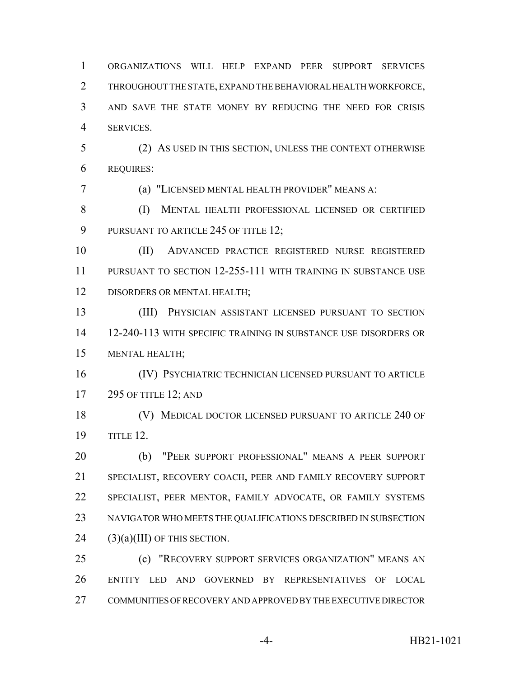THROUGHOUT THE STATE, EXPAND THE BEHAVIORAL HEALTH WORKFORCE, AND SAVE THE STATE MONEY BY REDUCING THE NEED FOR CRISIS SERVICES. (2) AS USED IN THIS SECTION, UNLESS THE CONTEXT OTHERWISE REQUIRES: (a) "LICENSED MENTAL HEALTH PROVIDER" MEANS A: (I) MENTAL HEALTH PROFESSIONAL LICENSED OR CERTIFIED 9 PURSUANT TO ARTICLE 245 OF TITLE 12; (II) ADVANCED PRACTICE REGISTERED NURSE REGISTERED PURSUANT TO SECTION 12-255-111 WITH TRAINING IN SUBSTANCE USE 12 DISORDERS OR MENTAL HEALTH; (III) PHYSICIAN ASSISTANT LICENSED PURSUANT TO SECTION 12-240-113 WITH SPECIFIC TRAINING IN SUBSTANCE USE DISORDERS OR MENTAL HEALTH; (IV) PSYCHIATRIC TECHNICIAN LICENSED PURSUANT TO ARTICLE 295 OF TITLE 12; AND (V) MEDICAL DOCTOR LICENSED PURSUANT TO ARTICLE 240 OF TITLE 12. (b) "PEER SUPPORT PROFESSIONAL" MEANS A PEER SUPPORT SPECIALIST, RECOVERY COACH, PEER AND FAMILY RECOVERY SUPPORT SPECIALIST, PEER MENTOR, FAMILY ADVOCATE, OR FAMILY SYSTEMS NAVIGATOR WHO MEETS THE QUALIFICATIONS DESCRIBED IN SUBSECTION (3)(a)(III) OF THIS SECTION. (c) "RECOVERY SUPPORT SERVICES ORGANIZATION" MEANS AN ENTITY LED AND GOVERNED BY REPRESENTATIVES OF LOCAL COMMUNITIES OF RECOVERY AND APPROVED BY THE EXECUTIVE DIRECTOR

ORGANIZATIONS WILL HELP EXPAND PEER SUPPORT SERVICES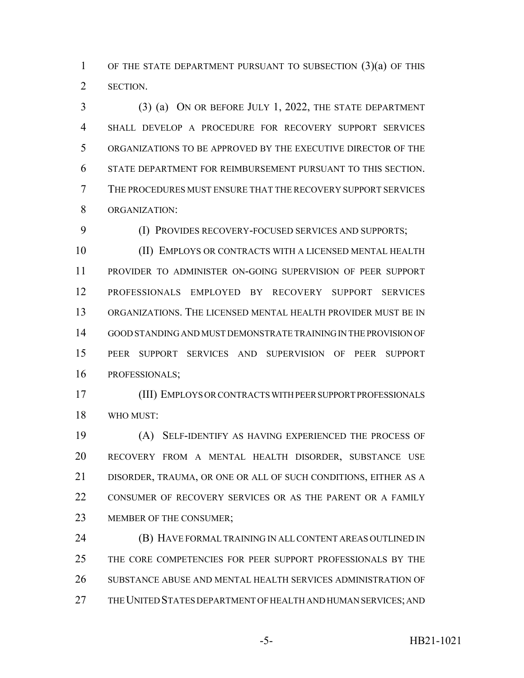OF THE STATE DEPARTMENT PURSUANT TO SUBSECTION (3)(a) OF THIS SECTION.

 (3) (a) ON OR BEFORE JULY 1, 2022, THE STATE DEPARTMENT SHALL DEVELOP A PROCEDURE FOR RECOVERY SUPPORT SERVICES ORGANIZATIONS TO BE APPROVED BY THE EXECUTIVE DIRECTOR OF THE STATE DEPARTMENT FOR REIMBURSEMENT PURSUANT TO THIS SECTION. THE PROCEDURES MUST ENSURE THAT THE RECOVERY SUPPORT SERVICES ORGANIZATION:

(I) PROVIDES RECOVERY-FOCUSED SERVICES AND SUPPORTS;

 (II) EMPLOYS OR CONTRACTS WITH A LICENSED MENTAL HEALTH PROVIDER TO ADMINISTER ON-GOING SUPERVISION OF PEER SUPPORT PROFESSIONALS EMPLOYED BY RECOVERY SUPPORT SERVICES ORGANIZATIONS. THE LICENSED MENTAL HEALTH PROVIDER MUST BE IN GOOD STANDING AND MUST DEMONSTRATE TRAINING IN THE PROVISION OF PEER SUPPORT SERVICES AND SUPERVISION OF PEER SUPPORT PROFESSIONALS;

 (III) EMPLOYS OR CONTRACTS WITH PEER SUPPORT PROFESSIONALS WHO MUST:

 (A) SELF-IDENTIFY AS HAVING EXPERIENCED THE PROCESS OF RECOVERY FROM A MENTAL HEALTH DISORDER, SUBSTANCE USE DISORDER, TRAUMA, OR ONE OR ALL OF SUCH CONDITIONS, EITHER AS A 22 CONSUMER OF RECOVERY SERVICES OR AS THE PARENT OR A FAMILY 23 MEMBER OF THE CONSUMER;

 (B) HAVE FORMAL TRAINING IN ALL CONTENT AREAS OUTLINED IN THE CORE COMPETENCIES FOR PEER SUPPORT PROFESSIONALS BY THE SUBSTANCE ABUSE AND MENTAL HEALTH SERVICES ADMINISTRATION OF THE UNITED STATES DEPARTMENT OF HEALTH AND HUMAN SERVICES; AND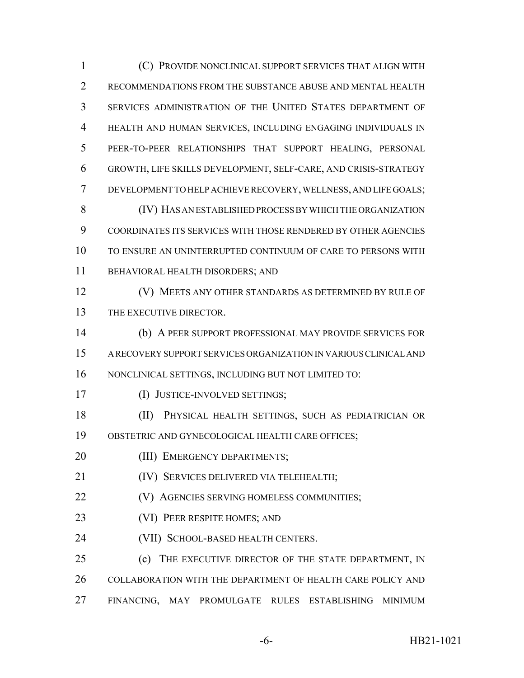(C) PROVIDE NONCLINICAL SUPPORT SERVICES THAT ALIGN WITH RECOMMENDATIONS FROM THE SUBSTANCE ABUSE AND MENTAL HEALTH SERVICES ADMINISTRATION OF THE UNITED STATES DEPARTMENT OF HEALTH AND HUMAN SERVICES, INCLUDING ENGAGING INDIVIDUALS IN PEER-TO-PEER RELATIONSHIPS THAT SUPPORT HEALING, PERSONAL GROWTH, LIFE SKILLS DEVELOPMENT, SELF-CARE, AND CRISIS-STRATEGY DEVELOPMENT TO HELP ACHIEVE RECOVERY, WELLNESS, AND LIFE GOALS; (IV) HAS AN ESTABLISHED PROCESS BY WHICH THE ORGANIZATION COORDINATES ITS SERVICES WITH THOSE RENDERED BY OTHER AGENCIES TO ENSURE AN UNINTERRUPTED CONTINUUM OF CARE TO PERSONS WITH BEHAVIORAL HEALTH DISORDERS; AND (V) MEETS ANY OTHER STANDARDS AS DETERMINED BY RULE OF 13 THE EXECUTIVE DIRECTOR. (b) A PEER SUPPORT PROFESSIONAL MAY PROVIDE SERVICES FOR A RECOVERY SUPPORT SERVICES ORGANIZATION IN VARIOUS CLINICAL AND NONCLINICAL SETTINGS, INCLUDING BUT NOT LIMITED TO: (I) JUSTICE-INVOLVED SETTINGS; (II) PHYSICAL HEALTH SETTINGS, SUCH AS PEDIATRICIAN OR OBSTETRIC AND GYNECOLOGICAL HEALTH CARE OFFICES; 20 (III) EMERGENCY DEPARTMENTS; (IV) SERVICES DELIVERED VIA TELEHEALTH; **(V)** AGENCIES SERVING HOMELESS COMMUNITIES; (VI) PEER RESPITE HOMES; AND **(VII) SCHOOL-BASED HEALTH CENTERS.** 25 (c) THE EXECUTIVE DIRECTOR OF THE STATE DEPARTMENT, IN COLLABORATION WITH THE DEPARTMENT OF HEALTH CARE POLICY AND FINANCING, MAY PROMULGATE RULES ESTABLISHING MINIMUM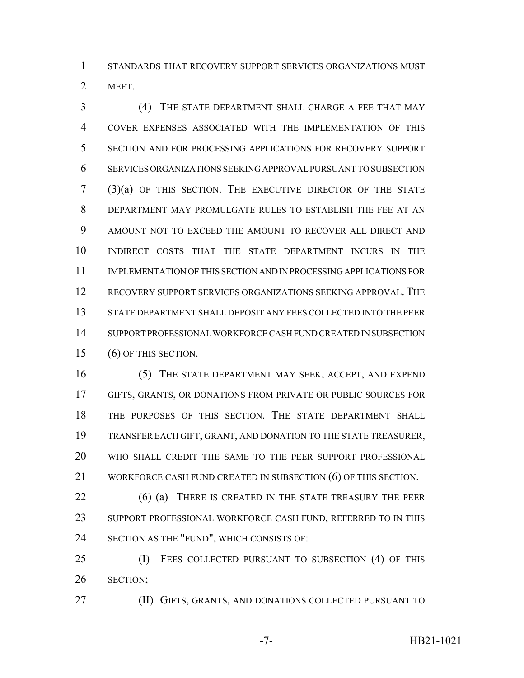STANDARDS THAT RECOVERY SUPPORT SERVICES ORGANIZATIONS MUST MEET.

 (4) THE STATE DEPARTMENT SHALL CHARGE A FEE THAT MAY COVER EXPENSES ASSOCIATED WITH THE IMPLEMENTATION OF THIS SECTION AND FOR PROCESSING APPLICATIONS FOR RECOVERY SUPPORT SERVICES ORGANIZATIONS SEEKING APPROVAL PURSUANT TO SUBSECTION (3)(a) OF THIS SECTION. THE EXECUTIVE DIRECTOR OF THE STATE DEPARTMENT MAY PROMULGATE RULES TO ESTABLISH THE FEE AT AN AMOUNT NOT TO EXCEED THE AMOUNT TO RECOVER ALL DIRECT AND INDIRECT COSTS THAT THE STATE DEPARTMENT INCURS IN THE IMPLEMENTATION OF THIS SECTION AND IN PROCESSING APPLICATIONS FOR RECOVERY SUPPORT SERVICES ORGANIZATIONS SEEKING APPROVAL. THE STATE DEPARTMENT SHALL DEPOSIT ANY FEES COLLECTED INTO THE PEER SUPPORT PROFESSIONAL WORKFORCE CASH FUND CREATED IN SUBSECTION (6) OF THIS SECTION.

 (5) THE STATE DEPARTMENT MAY SEEK, ACCEPT, AND EXPEND GIFTS, GRANTS, OR DONATIONS FROM PRIVATE OR PUBLIC SOURCES FOR THE PURPOSES OF THIS SECTION. THE STATE DEPARTMENT SHALL TRANSFER EACH GIFT, GRANT, AND DONATION TO THE STATE TREASURER, WHO SHALL CREDIT THE SAME TO THE PEER SUPPORT PROFESSIONAL WORKFORCE CASH FUND CREATED IN SUBSECTION (6) OF THIS SECTION.

 (6) (a) THERE IS CREATED IN THE STATE TREASURY THE PEER 23 SUPPORT PROFESSIONAL WORKFORCE CASH FUND, REFERRED TO IN THIS SECTION AS THE "FUND", WHICH CONSISTS OF:

 (I) FEES COLLECTED PURSUANT TO SUBSECTION (4) OF THIS SECTION;

(II) GIFTS, GRANTS, AND DONATIONS COLLECTED PURSUANT TO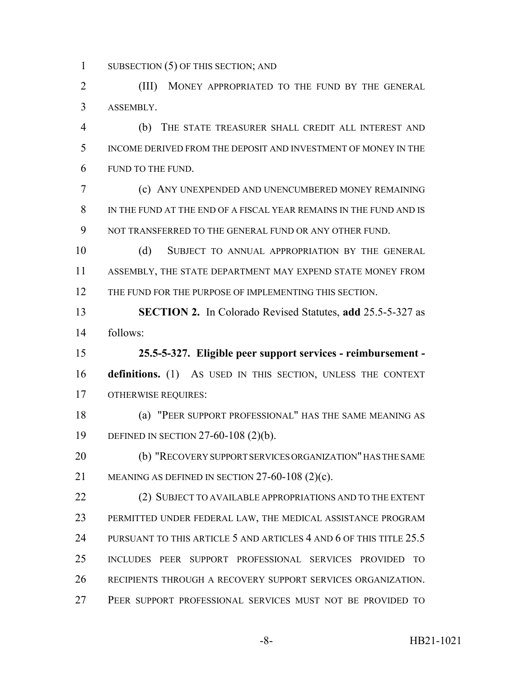1 SUBSECTION (5) OF THIS SECTION; AND

 (III) MONEY APPROPRIATED TO THE FUND BY THE GENERAL ASSEMBLY.

 (b) THE STATE TREASURER SHALL CREDIT ALL INTEREST AND INCOME DERIVED FROM THE DEPOSIT AND INVESTMENT OF MONEY IN THE FUND TO THE FUND.

 (c) ANY UNEXPENDED AND UNENCUMBERED MONEY REMAINING IN THE FUND AT THE END OF A FISCAL YEAR REMAINS IN THE FUND AND IS 9 NOT TRANSFERRED TO THE GENERAL FUND OR ANY OTHER FUND.

 (d) SUBJECT TO ANNUAL APPROPRIATION BY THE GENERAL ASSEMBLY, THE STATE DEPARTMENT MAY EXPEND STATE MONEY FROM 12 THE FUND FOR THE PURPOSE OF IMPLEMENTING THIS SECTION.

 **SECTION 2.** In Colorado Revised Statutes, **add** 25.5-5-327 as follows:

 **25.5-5-327. Eligible peer support services - reimbursement - definitions.** (1) AS USED IN THIS SECTION, UNLESS THE CONTEXT OTHERWISE REQUIRES:

 (a) "PEER SUPPORT PROFESSIONAL" HAS THE SAME MEANING AS DEFINED IN SECTION 27-60-108 (2)(b).

 (b) "RECOVERY SUPPORT SERVICES ORGANIZATION" HAS THE SAME MEANING AS DEFINED IN SECTION 27-60-108 (2)(c).

22 (2) SUBJECT TO AVAILABLE APPROPRIATIONS AND TO THE EXTENT PERMITTED UNDER FEDERAL LAW, THE MEDICAL ASSISTANCE PROGRAM 24 PURSUANT TO THIS ARTICLE 5 AND ARTICLES 4 AND 6 OF THIS TITLE 25.5 INCLUDES PEER SUPPORT PROFESSIONAL SERVICES PROVIDED TO RECIPIENTS THROUGH A RECOVERY SUPPORT SERVICES ORGANIZATION. PEER SUPPORT PROFESSIONAL SERVICES MUST NOT BE PROVIDED TO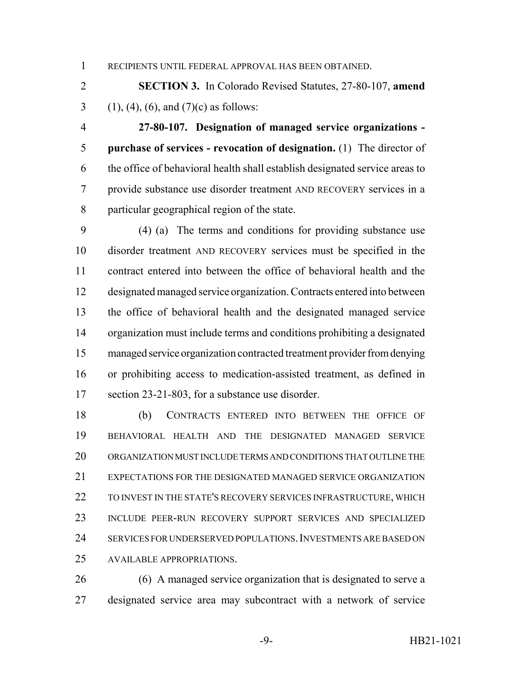RECIPIENTS UNTIL FEDERAL APPROVAL HAS BEEN OBTAINED.

 **SECTION 3.** In Colorado Revised Statutes, 27-80-107, **amend** 3 (1), (4), (6), and (7)(c) as follows:

 **27-80-107. Designation of managed service organizations - purchase of services - revocation of designation.** (1) The director of the office of behavioral health shall establish designated service areas to provide substance use disorder treatment AND RECOVERY services in a particular geographical region of the state.

 (4) (a) The terms and conditions for providing substance use disorder treatment AND RECOVERY services must be specified in the contract entered into between the office of behavioral health and the designated managed service organization. Contracts entered into between the office of behavioral health and the designated managed service organization must include terms and conditions prohibiting a designated managed service organization contracted treatment provider from denying or prohibiting access to medication-assisted treatment, as defined in section 23-21-803, for a substance use disorder.

 (b) CONTRACTS ENTERED INTO BETWEEN THE OFFICE OF BEHAVIORAL HEALTH AND THE DESIGNATED MANAGED SERVICE ORGANIZATION MUST INCLUDE TERMS AND CONDITIONS THAT OUTLINE THE EXPECTATIONS FOR THE DESIGNATED MANAGED SERVICE ORGANIZATION 22 TO INVEST IN THE STATE'S RECOVERY SERVICES INFRASTRUCTURE, WHICH INCLUDE PEER-RUN RECOVERY SUPPORT SERVICES AND SPECIALIZED SERVICES FOR UNDERSERVED POPULATIONS.INVESTMENTS ARE BASED ON AVAILABLE APPROPRIATIONS.

 (6) A managed service organization that is designated to serve a designated service area may subcontract with a network of service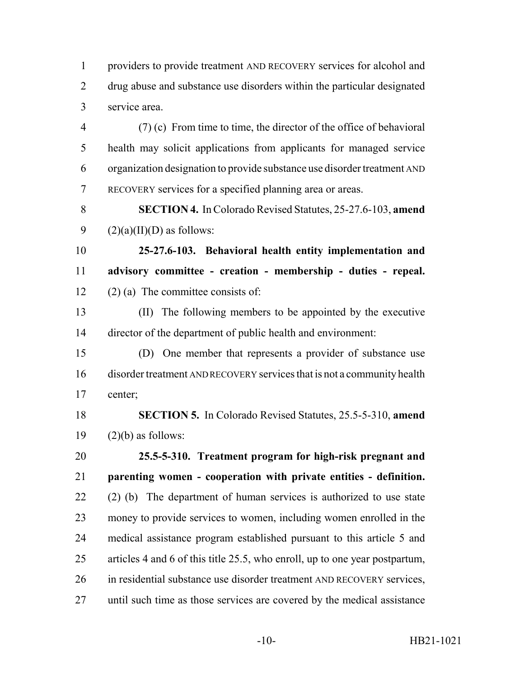providers to provide treatment AND RECOVERY services for alcohol and drug abuse and substance use disorders within the particular designated service area.

 (7) (c) From time to time, the director of the office of behavioral health may solicit applications from applicants for managed service organization designation to provide substance use disorder treatment AND RECOVERY services for a specified planning area or areas.

 **SECTION 4.** In Colorado Revised Statutes, 25-27.6-103, **amend** 9  $(2)(a)(II)(D)$  as follows:

 **25-27.6-103. Behavioral health entity implementation and advisory committee - creation - membership - duties - repeal.** 12 (2) (a) The committee consists of:

 (II) The following members to be appointed by the executive director of the department of public health and environment:

 (D) One member that represents a provider of substance use disorder treatment AND RECOVERY services that is not a community health center;

 **SECTION 5.** In Colorado Revised Statutes, 25.5-5-310, **amend** 19  $(2)(b)$  as follows:

 **25.5-5-310. Treatment program for high-risk pregnant and parenting women - cooperation with private entities - definition.** (2) (b) The department of human services is authorized to use state money to provide services to women, including women enrolled in the medical assistance program established pursuant to this article 5 and articles 4 and 6 of this title 25.5, who enroll, up to one year postpartum, 26 in residential substance use disorder treatment AND RECOVERY services, until such time as those services are covered by the medical assistance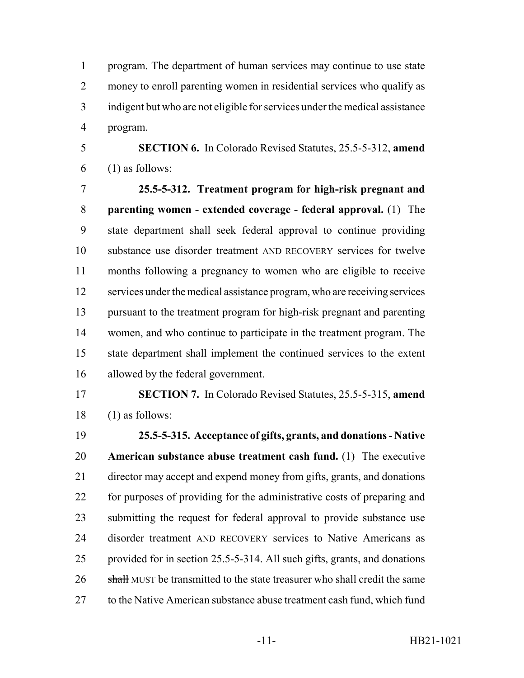program. The department of human services may continue to use state money to enroll parenting women in residential services who qualify as indigent but who are not eligible for services under the medical assistance program.

 **SECTION 6.** In Colorado Revised Statutes, 25.5-5-312, **amend** (1) as follows:

 **25.5-5-312. Treatment program for high-risk pregnant and parenting women - extended coverage - federal approval.** (1) The state department shall seek federal approval to continue providing substance use disorder treatment AND RECOVERY services for twelve months following a pregnancy to women who are eligible to receive services under the medical assistance program, who are receiving services pursuant to the treatment program for high-risk pregnant and parenting women, and who continue to participate in the treatment program. The state department shall implement the continued services to the extent allowed by the federal government.

 **SECTION 7.** In Colorado Revised Statutes, 25.5-5-315, **amend** (1) as follows:

 **25.5-5-315. Acceptance of gifts, grants, and donations - Native American substance abuse treatment cash fund.** (1) The executive director may accept and expend money from gifts, grants, and donations for purposes of providing for the administrative costs of preparing and submitting the request for federal approval to provide substance use disorder treatment AND RECOVERY services to Native Americans as provided for in section 25.5-5-314. All such gifts, grants, and donations 26 shall MUST be transmitted to the state treasurer who shall credit the same 27 to the Native American substance abuse treatment cash fund, which fund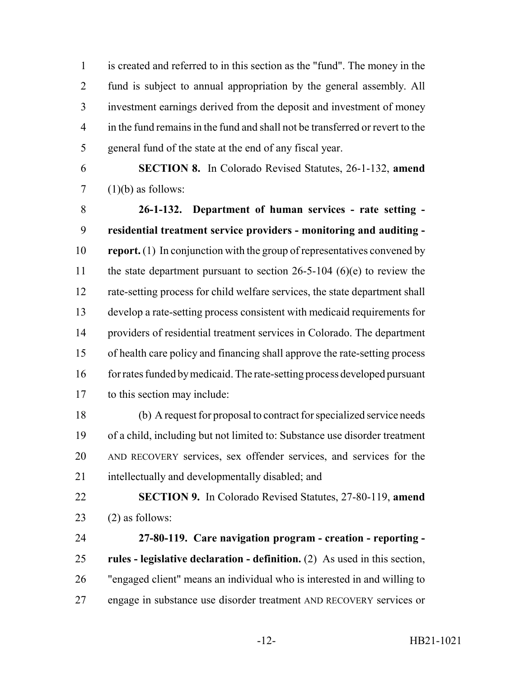is created and referred to in this section as the "fund". The money in the fund is subject to annual appropriation by the general assembly. All investment earnings derived from the deposit and investment of money in the fund remains in the fund and shall not be transferred or revert to the general fund of the state at the end of any fiscal year.

 **SECTION 8.** In Colorado Revised Statutes, 26-1-132, **amend** 7  $(1)(b)$  as follows:

 **26-1-132. Department of human services - rate setting - residential treatment service providers - monitoring and auditing - report.** (1) In conjunction with the group of representatives convened by 11 the state department pursuant to section 26-5-104 (6)(e) to review the rate-setting process for child welfare services, the state department shall develop a rate-setting process consistent with medicaid requirements for providers of residential treatment services in Colorado. The department of health care policy and financing shall approve the rate-setting process 16 for rates funded by medicaid. The rate-setting process developed pursuant to this section may include:

 (b) A request for proposal to contract for specialized service needs of a child, including but not limited to: Substance use disorder treatment AND RECOVERY services, sex offender services, and services for the intellectually and developmentally disabled; and

 **SECTION 9.** In Colorado Revised Statutes, 27-80-119, **amend** (2) as follows:

 **27-80-119. Care navigation program - creation - reporting - rules - legislative declaration - definition.** (2) As used in this section, "engaged client" means an individual who is interested in and willing to engage in substance use disorder treatment AND RECOVERY services or